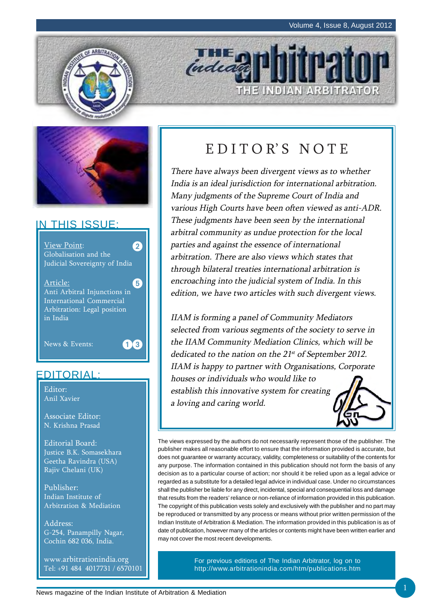



# IN THIS ISSUE:



# EDITORIAL:

Editor: Anil Xavier

Associate Editor: N. Krishna Prasad

Editorial Board: Justice B.K. Somasekhara Geetha Ravindra (USA) Rajiv Chelani (UK)

Publisher: Indian Institute of Arbitration & Mediation

Address: G-254, Panampilly Nagar, Cochin 682 036, India.

www.arbitrationindia.org Tel: +91 484 4017731 / 6570101

# EDITOR'S NOTE

THE INDIAN ARBITRATOR

indead

There have always been divergent views as to whether India is an ideal jurisdiction for international arbitration. Many judgments of the Supreme Court of India and various High Courts have been often viewed as anti-ADR. These judgments have been seen by the international arbitral community as undue protection for the local parties and against the essence of international arbitration. There are also views which states that through bilateral treaties international arbitration is encroaching into the judicial system of India. In this edition, we have two articles with such divergent views.

IIAM is forming a panel of Community Mediators selected from various segments of the society to serve in the IIAM Community Mediation Clinics, which will be dedicated to the nation on the 21<sup>st</sup> of September 2012. IIAM is happy to partner with Organisations, Corporate houses or individuals who would like to establish this innovative system for creating a loving and caring world.



The views expressed by the authors do not necessarily represent those of the publisher. The publisher makes all reasonable effort to ensure that the information provided is accurate, but does not guarantee or warranty accuracy, validity, completeness or suitability of the contents for any purpose. The information contained in this publication should not form the basis of any decision as to a particular course of action; nor should it be relied upon as a legal advice or regarded as a substitute for a detailed legal advice in individual case. Under no circumstances shall the publisher be liable for any direct, incidental, special and consequential loss and damage that results from the readers' reliance or non-reliance of information provided in this publication. The copyright of this publication vests solely and exclusively with the publisher and no part may be reproduced or transmitted by any process or means without prior written permission of the Indian Institute of Arbitration & Mediation. The information provided in this publication is as of date of publication, however many of the articles or contents might have been written earlier and may not cover the most recent developments.

> For previous editions of The Indian Arbitrator, log on to http://www.arbitrationindia.com/htm/publications.htm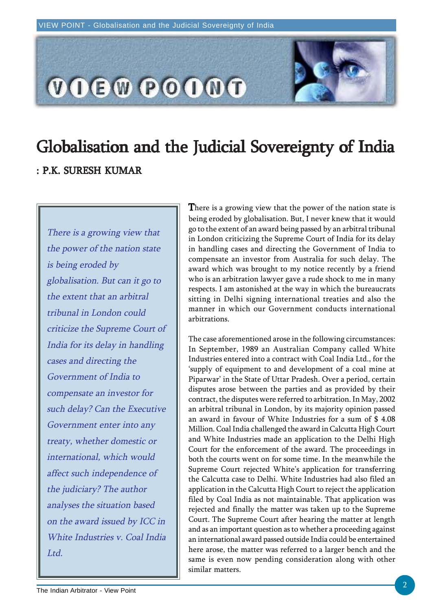

# Globalisation and the Judicial Sovereignty of India : P.K. SURESH KUMAR

There is a growing view that the power of the nation state is being eroded by globalisation. But can it go to the extent that an arbitral tribunal in London could criticize the Supreme Court of India for its delay in handling cases and directing the Government of India to compensate an investor for such delay? Can the Executive Government enter into any treaty, whether domestic or international, which would affect such independence of the judiciary? The author analyses the situation based on the award issued by ICC in White Industries v. Coal India Ltd.

There is a growing view that the power of the nation state is being eroded by globalisation. But, I never knew that it would go to the extent of an award being passed by an arbitral tribunal in London criticizing the Supreme Court of India for its delay in handling cases and directing the Government of India to compensate an investor from Australia for such delay. The award which was brought to my notice recently by a friend who is an arbitration lawyer gave a rude shock to me in many respects. I am astonished at the way in which the bureaucrats sitting in Delhi signing international treaties and also the manner in which our Government conducts international arbitrations.

The case aforementioned arose in the following circumstances: In September, 1989 an Australian Company called White Industries entered into a contract with Coal India Ltd., for the 'supply of equipment to and development of a coal mine at Piparwar' in the State of Uttar Pradesh. Over a period, certain disputes arose between the parties and as provided by their contract, the disputes were referred to arbitration. In May, 2002 an arbitral tribunal in London, by its majority opinion passed an award in favour of White Industries for a sum of \$ 4.08 Million. Coal India challenged the award in Calcutta High Court and White Industries made an application to the Delhi High Court for the enforcement of the award. The proceedings in both the courts went on for some time. In the meanwhile the Supreme Court rejected White's application for transferring the Calcutta case to Delhi. White Industries had also filed an application in the Calcutta High Court to reject the application filed by Coal India as not maintainable. That application was rejected and finally the matter was taken up to the Supreme Court. The Supreme Court after hearing the matter at length and as an important question as to whether a proceeding against an international award passed outside India could be entertained here arose, the matter was referred to a larger bench and the same is even now pending consideration along with other similar matters.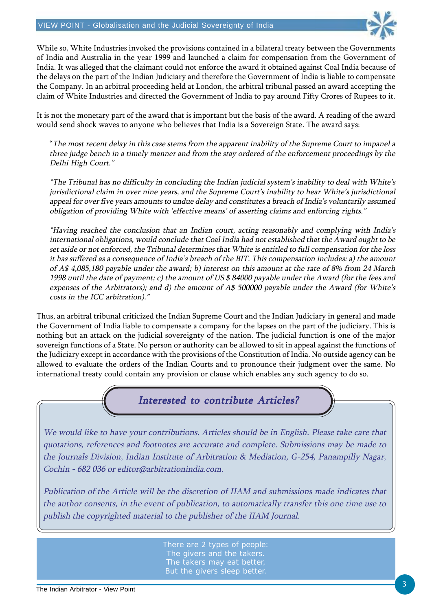

While so, White Industries invoked the provisions contained in a bilateral treaty between the Governments of India and Australia in the year 1999 and launched a claim for compensation from the Government of India. It was alleged that the claimant could not enforce the award it obtained against Coal India because of the delays on the part of the Indian Judiciary and therefore the Government of India is liable to compensate the Company. In an arbitral proceeding held at London, the arbitral tribunal passed an award accepting the claim of White Industries and directed the Government of India to pay around Fifty Crores of Rupees to it.

It is not the monetary part of the award that is important but the basis of the award. A reading of the award would send shock waves to anyone who believes that India is a Sovereign State. The award says:

"The most recent delay in this case stems from the apparent inability of the Supreme Court to impanel a three judge bench in a timely manner and from the stay ordered of the enforcement proceedings by the Delhi High Court."

"The Tribunal has no difficulty in concluding the Indian judicial system's inability to deal with White's jurisdictional claim in over nine years, and the Supreme Court's inability to hear White's jurisdictional appeal for over five years amounts to undue delay and constitutes a breach of India's voluntarily assumed obligation of providing White with 'effective means' of asserting claims and enforcing rights."

"Having reached the conclusion that an Indian court, acting reasonably and complying with India's international obligations, would conclude that Coal India had not established that the Award ought to be set aside or not enforced, the Tribunal determines that White is entitled to full compensation for the loss it has suffered as a consequence of India's breach of the BIT. This compensation includes: a) the amount of A\$ 4,085,180 payable under the award; b) interest on this amount at the rate of 8% from 24 March 1998 until the date of payment; c) the amount of US \$ 84000 payable under the Award (for the fees and expenses of the Arbitrators); and d) the amount of A\$ 500000 payable under the Award (for White's costs in the ICC arbitration)."

Thus, an arbitral tribunal criticized the Indian Supreme Court and the Indian Judiciary in general and made the Government of India liable to compensate a company for the lapses on the part of the judiciary. This is nothing but an attack on the judicial sovereignty of the nation. The judicial function is one of the major sovereign functions of a State. No person or authority can be allowed to sit in appeal against the functions of the Judiciary except in accordance with the provisions of the Constitution of India. No outside agency can be allowed to evaluate the orders of the Indian Courts and to pronounce their judgment over the same. No international treaty could contain any provision or clause which enables any such agency to do so.

# Interested to contribute Articles?

We would like to have your contributions. Articles should be in English. Please take care that quotations, references and footnotes are accurate and complete. Submissions may be made to the Journals Division, Indian Institute of Arbitration & Mediation, G-254, Panampilly Nagar, Cochin - 682 036 or editor@arbitrationindia.com.

Publication of the Article will be the discretion of IIAM and submissions made indicates that the author consents, in the event of publication, to automatically transfer this one time use to publish the copyrighted material to the publisher of the IIAM Journal.

> There are 2 types of people: The givers and the takers. The takers may eat better, But the givers sleep better.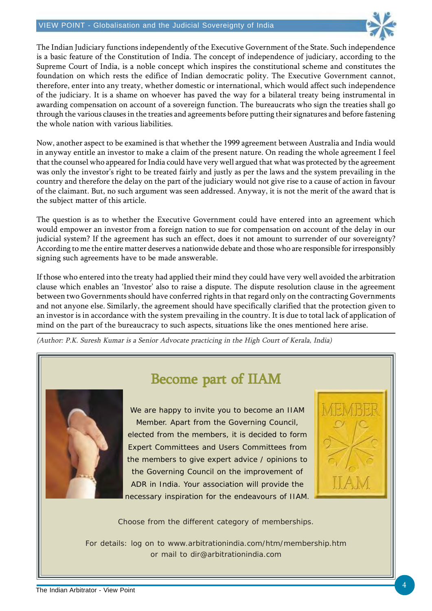

The Indian Judiciary functions independently of the Executive Government of the State. Such independence is a basic feature of the Constitution of India. The concept of independence of judiciary, according to the Supreme Court of India, is a noble concept which inspires the constitutional scheme and constitutes the foundation on which rests the edifice of Indian democratic polity. The Executive Government cannot, therefore, enter into any treaty, whether domestic or international, which would affect such independence of the judiciary. It is a shame on whoever has paved the way for a bilateral treaty being instrumental in awarding compensation on account of a sovereign function. The bureaucrats who sign the treaties shall go through the various clauses in the treaties and agreements before putting their signatures and before fastening the whole nation with various liabilities.

Now, another aspect to be examined is that whether the 1999 agreement between Australia and India would in anyway entitle an investor to make a claim of the present nature. On reading the whole agreement I feel that the counsel who appeared for India could have very well argued that what was protected by the agreement was only the investor's right to be treated fairly and justly as per the laws and the system prevailing in the country and therefore the delay on the part of the judiciary would not give rise to a cause of action in favour of the claimant. But, no such argument was seen addressed. Anyway, it is not the merit of the award that is the subject matter of this article.

The question is as to whether the Executive Government could have entered into an agreement which would empower an investor from a foreign nation to sue for compensation on account of the delay in our judicial system? If the agreement has such an effect, does it not amount to surrender of our sovereignty? According to me the entire matter deserves a nationwide debate and those who are responsible for irresponsibly signing such agreements have to be made answerable.

If those who entered into the treaty had applied their mind they could have very well avoided the arbitration clause which enables an 'Investor' also to raise a dispute. The dispute resolution clause in the agreement between two Governments should have conferred rights in that regard only on the contracting Governments and not anyone else. Similarly, the agreement should have specifically clarified that the protection given to an investor is in accordance with the system prevailing in the country. It is due to total lack of application of mind on the part of the bureaucracy to such aspects, situations like the ones mentioned here arise.

(Author: P.K. Suresh Kumar is a Senior Advocate practicing in the High Court of Kerala, India)



# Become part of IIAM

We are happy to invite you to become an IIAM Member. Apart from the Governing Council, elected from the members, it is decided to form Expert Committees and Users Committees from the members to give expert advice / opinions to the Governing Council on the improvement of ADR in India. Your association will provide the necessary inspiration for the endeavours of IIAM.



Choose from the different category of memberships.

For details: log on to www.arbitrationindia.com/htm/membership.htm or mail to dir@arbitrationindia.com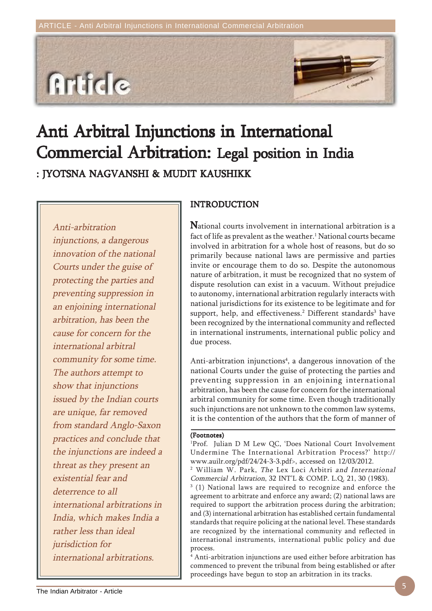

# Anti Arbitral Injunctions in International Commercial Arbitration: Legal position in India : JYOTSNA NAGVANSHI & MUDIT KAUSHIKK

Anti-arbitration injunctions, a dangerous innovation of the national Courts under the guise of protecting the parties and preventing suppression in an enjoining international arbitration, has been the cause for concern for the international arbitral community for some time. The authors attempt to show that injunctions issued by the Indian courts are unique, far removed from standard Anglo-Saxon practices and conclude that the injunctions are indeed a threat as they present an existential fear and deterrence to all international arbitrations in India, which makes India a rather less than ideal jurisdiction for international arbitrations.

# INTRODUCTION

National courts involvement in international arbitration is a fact of life as prevalent as the weather. $^1$  National courts became involved in arbitration for a whole host of reasons, but do so primarily because national laws are permissive and parties invite or encourage them to do so. Despite the autonomous nature of arbitration, it must be recognized that no system of dispute resolution can exist in a vacuum. Without prejudice to autonomy, international arbitration regularly interacts with national jurisdictions for its existence to be legitimate and for support, help, and effectiveness.<sup>2</sup> Different standards<sup>3</sup> have been recognized by the international community and reflected in international instruments, international public policy and due process.

Anti-arbitration injunctions<sup>4</sup>, a dangerous innovation of the national Courts under the guise of protecting the parties and preventing suppression in an enjoining international arbitration, has been the cause for concern for the international arbitral community for some time. Even though traditionally such injunctions are not unknown to the common law systems, it is the contention of the authors that the form of manner of

#### (Footnotes)

1 Prof. Julian D M Lew QC, 'Does National Court Involvement Undermine The International Arbitration Process?' http:// www.auilr.org/pdf/24/24-3-3.pdf>, accessed on 12/03/2012. 2 William W. Park, The Lex Loci Arbitri and International Commercial Arbitration, 32 INT'L & COMP. L.Q. 21, 30 (1983). <sup>3</sup> (1) National laws are required to recognize and enforce the agreement to arbitrate and enforce any award; (2) national laws are required to support the arbitration process during the arbitration;

and (3) international arbitration has established certain fundamental standards that require policing at the national level. These standards are recognized by the international community and reflected in international instruments, international public policy and due process.

4 Anti-arbitration injunctions are used either before arbitration has commenced to prevent the tribunal from being established or after proceedings have begun to stop an arbitration in its tracks.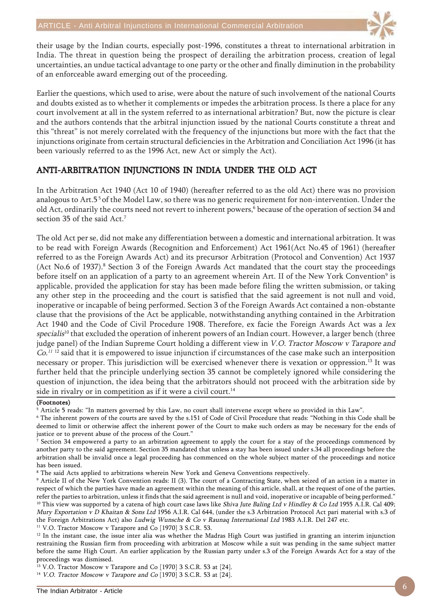

their usage by the Indian courts, especially post-1996, constitutes a threat to international arbitration in India. The threat in question being the prospect of derailing the arbitration process, creation of legal uncertainties, an undue tactical advantage to one party or the other and finally diminution in the probability of an enforceable award emerging out of the proceeding.

Earlier the questions, which used to arise, were about the nature of such involvement of the national Courts and doubts existed as to whether it complements or impedes the arbitration process. Is there a place for any court involvement at all in the system referred to as international arbitration? But, now the picture is clear and the authors contends that the arbitral injunction issued by the national Courts constitute a threat and this "threat" is not merely correlated with the frequency of the injunctions but more with the fact that the injunctions originate from certain structural deficiencies in the Arbitration and Conciliation Act 1996 (it has been variously referred to as the 1996 Act, new Act or simply the Act).

# ANTI-ARBITRATION INJUNCTIONS IN INDIA UNDER THE OLD ACT

In the Arbitration Act 1940 (Act 10 of 1940) (hereafter referred to as the old Act) there was no provision analogous to Art.5<sup>5</sup> of the Model Law, so there was no generic requirement for non-intervention. Under the old Act, ordinarily the courts need not revert to inherent powers, $^6$  because of the operation of section 34 and section 35 of the said Act.<sup>7</sup>

The old Act per se, did not make any differentiation between a domestic and international arbitration. It was to be read with Foreign Awards (Recognition and Enforcement) Act 1961(Act No.45 of 1961) (hereafter referred to as the Foreign Awards Act) and its precursor Arbitration (Protocol and Convention) Act 1937 (Act No.6 of 1937).<sup>8</sup> Section 3 of the Foreign Awards Act mandated that the court stay the proceedings before itself on an application of a party to an agreement wherein Art. II of the New York Convention $^9$  is applicable, provided the application for stay has been made before filing the written submission, or taking any other step in the proceeding and the court is satisfied that the said agreement is not null and void, inoperative or incapable of being performed. Section 3 of the Foreign Awards Act contained a non-obstante clause that the provisions of the Act be applicable, notwithstanding anything contained in the Arbitration Act 1940 and the Code of Civil Procedure 1908. Therefore, ex facie the Foreign Awards Act was a lex specialis<sup>10</sup> that excluded the operation of inherent powers of an Indian court. However, a larger bench (three judge panel) of the Indian Supreme Court holding a different view in V.O. Tractor Moscow v Tarapore and Co.<sup>11</sup> 12 said that it is empowered to issue injunction if circumstances of the case make such an interposition necessary or proper. This jurisdiction will be exercised whenever there is vexation or oppression.13 It was further held that the principle underlying section 35 cannot be completely ignored while considering the question of injunction, the idea being that the arbitrators should not proceed with the arbitration side by side in rivalry or in competition as if it were a civil court.<sup>14</sup>

#### (Footnotes)

 $^{\rm 5}$  Article 5 reads: "In matters governed by this Law, no court shall intervene except where so provided in this Law".

6 The inherent powers of the courts are saved by the s.151 of Code of Civil Procedure that reads: "Nothing in this Code shall be deemed to limit or otherwise affect the inherent power of the Court to make such orders as may be necessary for the ends of justice or to prevent abuse of the process of the Court."

 $^7$  Section 34 empowered a party to an arbitration agreement to apply the court for a stay of the proceedings commenced by another party to the said agreement. Section 35 mandated that unless a stay has been issued under s.34 all proceedings before the arbitration shall be invalid once a legal proceeding has commenced on the whole subject matter of the proceedings and notice has been issued.

8 The said Acts applied to arbitrations wherein New York and Geneva Conventions respectively.

9 Article II of the New York Convention reads: II (3). The court of a Contracting State, when seized of an action in a matter in respect of which the parties have made an agreement within the meaning of this article, shall, at the request of one of the parties, refer the parties to arbitration, unless it finds that the said agreement is null and void, inoperative or incapable of being performed."

<sup>10</sup> This view was supported by a catena of high court case laws like Shiva Jute Baling Ltd v Hindley & Co Ltd 1955 A.I.R. Cal 409; Mury Exportation v D Khaitan & Sons Ltd 1956 A.I.R. Cal 644, (under the s.3 Arbitration Protocol Act pari material with s.3 of the Foreign Arbitrations Act) also Ludwig Wunsche & Co v Raunaq International Ltd 1983 A.I.R. Del 247 etc.

<sup>11</sup> V.O. Tractor Moscow v Tarapore and Co [1970] 3 S.C.R. 53.

 $12$  In the instant case, the issue inter alia was whether the Madras High Court was justified in granting an interim injunction restraining the Russian firm from proceeding with arbitration at Moscow while a suit was pending in the same subject matter before the same High Court. An earlier application by the Russian party under s.3 of the Foreign Awards Act for a stay of the proceedings was dismissed.

<sup>13</sup> V.O. Tractor Moscow v Tarapore and Co [1970] 3 S.C.R. 53 at [24].

<sup>14</sup> V.O. Tractor Moscow v Tarapore and Co [1970] 3 S.C.R. 53 at [24].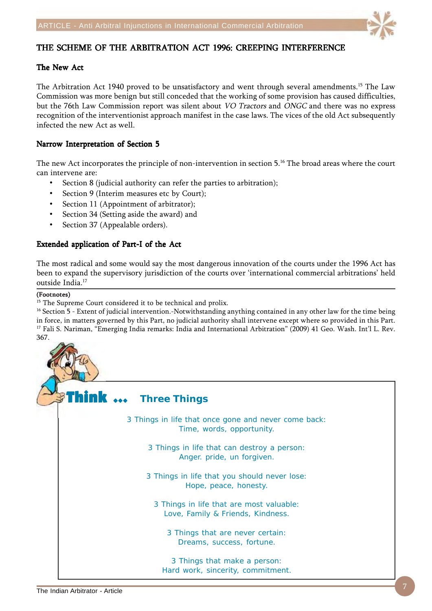

# THE SCHEME OF THE ARBITRATION ACT 1996: CREEPING INTERFERENCE

# The New Act

The Arbitration Act 1940 proved to be unsatisfactory and went through several amendments.<sup>15</sup> The Law Commission was more benign but still conceded that the working of some provision has caused difficulties, but the 76th Law Commission report was silent about VO Tractors and ONGC and there was no express recognition of the interventionist approach manifest in the case laws. The vices of the old Act subsequently infected the new Act as well.

# Narrow Interpretation of Section 5

The new Act incorporates the principle of non-intervention in section 5.16 The broad areas where the court can intervene are:

- Section 8 (judicial authority can refer the parties to arbitration);
- Section 9 (Interim measures etc by Court);
- Section 11 (Appointment of arbitrator);
- Section 34 (Setting aside the award) and
- Section 37 (Appealable orders).

# Extended application of Part-I of the Act

The most radical and some would say the most dangerous innovation of the courts under the 1996 Act has been to expand the supervisory jurisdiction of the courts over 'international commercial arbitrations' held outside India.17

#### (Footnotes)

<sup>15</sup> The Supreme Court considered it to be technical and prolix.

<sup>16</sup> Section 5 - Extent of judicial intervention.-Notwithstanding anything contained in any other law for the time being in force, in matters governed by this Part, no judicial authority shall intervene except where so provided in this Part. <sup>17</sup> Fali S. Nariman, "Emerging India remarks: India and International Arbitration" (2009) 41 Geo. Wash. Int'l L. Rev. 367.

Think  $\ldots$ 3 Things in life that once gone and never come back: Time, words, opportunity. 3 Things in life that can destroy a person: Anger. pride, un forgiven. 3 Things in life that you should never lose: Hope, peace, honesty. 3 Things in life that are most valuable: Love, Family & Friends, Kindness. 3 Things that are never certain: Dreams, success, fortune. 3 Things that make a person: Hard work, sincerity, commitment. **Three Things**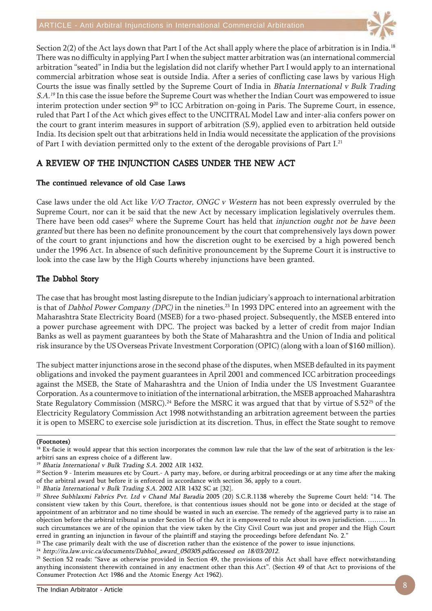

Section 2(2) of the Act lays down that Part I of the Act shall apply where the place of arbitration is in India.<sup>18</sup> There was no difficulty in applying Part I when the subject matter arbitration was (an international commercial arbitration "seated" in India but the legislation did not clarify whether Part I would apply to an international commercial arbitration whose seat is outside India. After a series of conflicting case laws by various High Courts the issue was finally settled by the Supreme Court of India in Bhatia International v Bulk Trading S.A.<sup>19</sup> In this case the issue before the Supreme Court was whether the Indian Court was empowered to issue interim protection under section 9<sup>20</sup> to ICC Arbitration on-going in Paris. The Supreme Court, in essence, ruled that Part I of the Act which gives effect to the UNCITRAL Model Law and inter-alia confers power on the court to grant interim measures in support of arbitration (S.9), applied even to arbitration held outside India. Its decision spelt out that arbitrations held in India would necessitate the application of the provisions of Part I with deviation permitted only to the extent of the derogable provisions of Part I.<sup>21</sup>

# A REVIEW OF THE INJUNCTION CASES UNDER THE NEW ACT

# The continued relevance of old Case Laws

Case laws under the old Act like V/O Tractor, ONGC v Western has not been expressly overruled by the Supreme Court, nor can it be said that the new Act by necessary implication legislatively overrules them. There have been odd cases<sup>22</sup> where the Supreme Court has held that injunction ought not be have been granted but there has been no definite pronouncement by the court that comprehensively lays down power of the court to grant injunctions and how the discretion ought to be exercised by a high powered bench under the 1996 Act. In absence of such definitive pronouncement by the Supreme Court it is instructive to look into the case law by the High Courts whereby injunctions have been granted.

# The Dabhol Story

The case that has brought most lasting disrepute to the Indian judiciary's approach to international arbitration is that of Dabhol Power Company (DPC) in the nineties.<sup>23</sup> In 1993 DPC entered into an agreement with the Maharashtra State Electricity Board (MSEB) for a two-phased project. Subsequently, the MSEB entered into a power purchase agreement with DPC. The project was backed by a letter of credit from major Indian Banks as well as payment guarantees by both the State of Maharashtra and the Union of India and political risk insurance by the US Overseas Private Investment Corporation (OPIC) (along with a loan of \$160 million).

The subject matter injunctions arose in the second phase of the disputes, when MSEB defaulted in its payment obligations and invoked the payment guarantees in April 2001 and commenced ICC arbitration proceedings against the MSEB, the State of Maharashtra and the Union of India under the US Investment Guarantee Corporation. As a countermove to initiation of the international arbitration, the MSEB approached Maharashtra State Regulatory Commission (MSRC).<sup>24</sup> Before the MSRC it was argued that that by virtue of S.52<sup>25</sup> of the Electricity Regulatory Commission Act 1998 notwithstanding an arbitration agreement between the parties it is open to MSERC to exercise sole jurisdiction at its discretion. Thus, in effect the State sought to remove

#### (Footnotes)

 $23$  The case primarily dealt with the use of discretion rather than the existence of the power to issue injunctions.

<sup>24</sup> http://ita.law.uvic.ca/documents/Dabhol\_award\_050305.pdfaccessed on 18/03/2012.

<sup>25</sup> Section 52 reads: "Save as otherwise provided in Section 49, the provisions of this Act shall have effect notwithstanding anything inconsistent therewith contained in any enactment other than this Act". (Section 49 of that Act to provisions of the Consumer Protection Act 1986 and the Atomic Energy Act 1962).

<sup>&</sup>lt;sup>18</sup> Ex-facie it would appear that this section incorporates the common law rule that the law of the seat of arbitration is the lexarbitri sans an express choice of a different law.

<sup>&</sup>lt;sup>19</sup> Bhatia International v Bulk Trading S.A. 2002 AIR 1432.

<sup>&</sup>lt;sup>20</sup> Section 9 - Interim measures etc by Court.- A party may, before, or during arbitral proceedings or at any time after the making of the arbitral award but before it is enforced in accordance with section 36, apply to a court.

 $21$  Bhatia International v Bulk Trading S.A. 2002 AIR 1432 SC at [32].

 $^{22}$  Shree Subhlaxmi Fabrics Pvt. Ltd v Chand Mal Baradia 2005 (20) S.C.R.1138 whereby the Supreme Court held: "14. The consistent view taken by this Court, therefore, is that contentious issues should not be gone into or decided at the stage of appointment of an arbitrator and no time should be wasted in such an exercise. The remedy of the aggrieved party is to raise an objection before the arbitral tribunal as under Section 16 of the Act it is empowered to rule about its own jurisdiction. ……… In such circumstances we are of the opinion that the view taken by the City Civil Court was just and proper and the High Court erred in granting an injunction in favour of the plaintiff and staying the proceedings before defendant No. 2."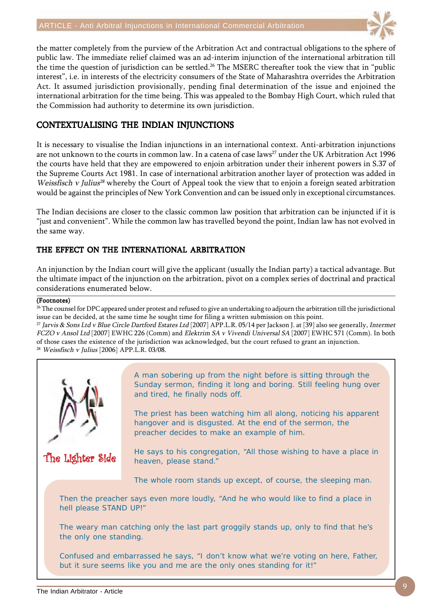

the matter completely from the purview of the Arbitration Act and contractual obligations to the sphere of public law. The immediate relief claimed was an ad-interim injunction of the international arbitration till the time the question of jurisdiction can be settled.<sup>26</sup> The MSERC thereafter took the view that in "public interest", i.e. in interests of the electricity consumers of the State of Maharashtra overrides the Arbitration Act. It assumed jurisdiction provisionally, pending final determination of the issue and enjoined the international arbitration for the time being. This was appealed to the Bombay High Court, which ruled that the Commission had authority to determine its own jurisdiction.

# CONTEXTUALISING THE INDIAN INJUNCTIONS

It is necessary to visualise the Indian injunctions in an international context. Anti-arbitration injunctions are not unknown to the courts in common law. In a catena of case laws<sup>27</sup> under the UK Arbitration Act 1996 the courts have held that they are empowered to enjoin arbitration under their inherent powers in S.37 of the Supreme Courts Act 1981. In case of international arbitration another layer of protection was added in Weissfisch v Julius<sup>28</sup> whereby the Court of Appeal took the view that to enjoin a foreign seated arbitration would be against the principles of New York Convention and can be issued only in exceptional circumstances.

The Indian decisions are closer to the classic common law position that arbitration can be injuncted if it is "just and convenient". While the common law has travelled beyond the point, Indian law has not evolved in the same way.

# THE EFFECT ON THE INTERNATIONAL ARBITRATION

An injunction by the Indian court will give the applicant (usually the Indian party) a tactical advantage. But the ultimate impact of the injunction on the arbitration, pivot on a complex series of doctrinal and practical considerations enumerated below.

# (Footnotes)

<sup>26</sup> The counsel for DPC appeared under protest and refused to give an undertaking to adjourn the arbitration till the jurisdictional issue can be decided, at the same time he sought time for filing a written submission on this point.

<sup>27</sup> Jarvis & Sons Ltd v Blue Circle Dartford Estates Ltd [2007] APP.L.R. 05/14 per Jackson J. at [39] also see generally, Intermet FCZO v Ansol Ltd [2007] EWHC 226 (Comm) and Elektrim SA v Vivendi Universal SA [2007] EWHC 571 (Comm). In both of those cases the existence of the jurisdiction was acknowledged, but the court refused to grant an injunction. <sup>28</sup> Weissfisch v Julius [2006] APP.L.R. 03/08.

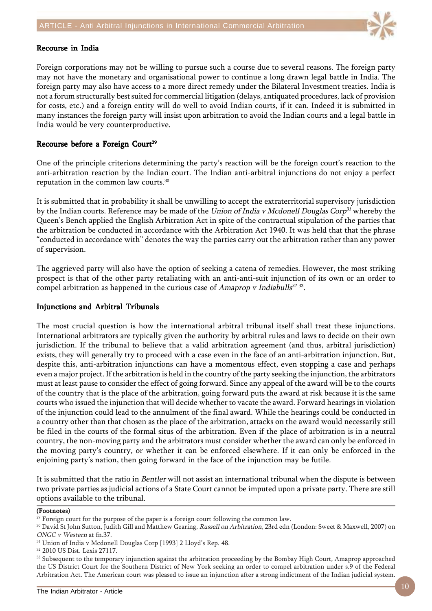

## Recourse in India

Foreign corporations may not be willing to pursue such a course due to several reasons. The foreign party may not have the monetary and organisational power to continue a long drawn legal battle in India. The foreign party may also have access to a more direct remedy under the Bilateral Investment treaties. India is not a forum structurally best suited for commercial litigation (delays, antiquated procedures, lack of provision for costs, etc.) and a foreign entity will do well to avoid Indian courts, if it can. Indeed it is submitted in many instances the foreign party will insist upon arbitration to avoid the Indian courts and a legal battle in India would be very counterproductive.

## Recourse before a Foreign Court<sup>29</sup>

One of the principle criterions determining the party's reaction will be the foreign court's reaction to the anti-arbitration reaction by the Indian court. The Indian anti-arbitral injunctions do not enjoy a perfect reputation in the common law courts.30

It is submitted that in probability it shall be unwilling to accept the extraterritorial supervisory jurisdiction by the Indian courts. Reference may be made of the Union of India v Mcdonell Douglas Corp<sup>31</sup> whereby the Queen's Bench applied the English Arbitration Act in spite of the contractual stipulation of the parties that the arbitration be conducted in accordance with the Arbitration Act 1940. It was held that that the phrase "conducted in accordance with" denotes the way the parties carry out the arbitration rather than any power of supervision.

The aggrieved party will also have the option of seeking a catena of remedies. However, the most striking prospect is that of the other party retaliating with an anti-anti-suit injunction of its own or an order to compel arbitration as happened in the curious case of Amaprop v Indiabulls $32\,33$ .

## Injunctions and Arbitral Tribunals

The most crucial question is how the international arbitral tribunal itself shall treat these injunctions. International arbitrators are typically given the authority by arbitral rules and laws to decide on their own jurisdiction. If the tribunal to believe that a valid arbitration agreement (and thus, arbitral jurisdiction) exists, they will generally try to proceed with a case even in the face of an anti-arbitration injunction. But, despite this, anti-arbitration injunctions can have a momentous effect, even stopping a case and perhaps even a major project. If the arbitration is held in the country of the party seeking the injunction, the arbitrators must at least pause to consider the effect of going forward. Since any appeal of the award will be to the courts of the country that is the place of the arbitration, going forward puts the award at risk because it is the same courts who issued the injunction that will decide whether to vacate the award. Forward hearings in violation of the injunction could lead to the annulment of the final award. While the hearings could be conducted in a country other than that chosen as the place of the arbitration, attacks on the award would necessarily still be filed in the courts of the formal situs of the arbitration. Even if the place of arbitration is in a neutral country, the non-moving party and the arbitrators must consider whether the award can only be enforced in the moving party's country, or whether it can be enforced elsewhere. If it can only be enforced in the enjoining party's nation, then going forward in the face of the injunction may be futile.

It is submitted that the ratio in Bentler will not assist an international tribunal when the dispute is between two private parties as judicial actions of a State Court cannot be imputed upon a private party. There are still options available to the tribunal.

#### (Footnotes)

 $^{29}$  Foreign court for the purpose of the paper is a foreign court following the common law.

<sup>&</sup>lt;sup>30</sup> David St John Sutton, Judith Gill and Matthew Gearing, Russell on Arbitration, 23rd edn (London: Sweet & Maxwell, 2007) on ONGC v Western at fn.37.

<sup>31</sup> Union of India v Mcdonell Douglas Corp [1993] 2 Lloyd's Rep. 48.

<sup>32 2010</sup> US Dist. Lexis 27117.

<sup>&</sup>lt;sup>33</sup> Subsequent to the temporary injunction against the arbitration proceeding by the Bombay High Court, Amaprop approached the US District Court for the Southern District of New York seeking an order to compel arbitration under s.9 of the Federal Arbitration Act. The American court was pleased to issue an injunction after a strong indictment of the Indian judicial system.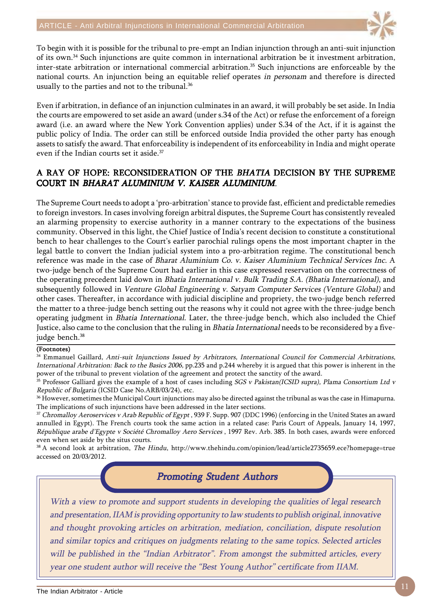

To begin with it is possible for the tribunal to pre-empt an Indian injunction through an anti-suit injunction of its own.34 Such injunctions are quite common in international arbitration be it investment arbitration, inter-state arbitration or international commercial arbitration.35 Such injunctions are enforceable by the national courts. An injunction being an equitable relief operates in personam and therefore is directed usually to the parties and not to the tribunal.<sup>36</sup>

Even if arbitration, in defiance of an injunction culminates in an award, it will probably be set aside. In India the courts are empowered to set aside an award (under s.34 of the Act) or refuse the enforcement of a foreign award (i.e. an award where the New York Convention applies) under S.34 of the Act, if it is against the public policy of India. The order can still be enforced outside India provided the other party has enough assets to satisfy the award. That enforceability is independent of its enforceability in India and might operate even if the Indian courts set it aside.<sup>37</sup>

# A RAY OF HOPE: RECONSIDERATION OF THE BHATIA DECISION BY THE SUPREME COURT IN BHARAT ALUMINIUM V. KAISER ALUMINIUM.

The Supreme Court needs to adopt a 'pro-arbitration' stance to provide fast, efficient and predictable remedies to foreign investors. In cases involving foreign arbitral disputes, the Supreme Court has consistently revealed an alarming propensity to exercise authority in a manner contrary to the expectations of the business community. Observed in this light, the Chief Justice of India's recent decision to constitute a constitutional bench to hear challenges to the Court's earlier parochial rulings opens the most important chapter in the legal battle to convert the Indian judicial system into a pro-arbitration regime. The constitutional bench reference was made in the case of Bharat Aluminium Co. v. Kaiser Aluminium Technical Services Inc. A two-judge bench of the Supreme Court had earlier in this case expressed reservation on the correctness of the operating precedent laid down in Bhatia International v. Bulk Trading S.A. (Bhatia International), and subsequently followed in Venture Global Engineering v. Satyam Computer Services (Venture Global) and other cases. Thereafter, in accordance with judicial discipline and propriety, the two-judge bench referred the matter to a three-judge bench setting out the reasons why it could not agree with the three-judge bench operating judgment in Bhatia International. Later, the three-judge bench, which also included the Chief Justice, also came to the conclusion that the ruling in Bhatia International needs to be reconsidered by a fivejudge bench.<sup>38</sup>

## (Footnotes)

<sup>34</sup> Emmanuel Gaillard, Anti-suit Injunctions Issued by Arbitrators, International Council for Commercial Arbitrations, International Arbitration: Back to the Basics 2006, pp.235 and p.244 whereby it is argued that this power is inherent in the power of the tribunal to prevent violation of the agreement and protect the sanctity of the award.

35 Professor Galliard gives the example of a host of cases including SGS v Pakistan(ICSID supra), Plama Consortium Ltd v Republic of Bulgaria (ICSID Case No.ARB/03/24), etc.

<sup>36</sup> However, sometimes the Municipal Court injunctions may also be directed against the tribunal as was the case in Himapurna. The implications of such injunctions have been addressed in the later sections.

<sup>37</sup> Chromalloy Aeroservices v Arab Republic of Egypt, 939 F. Supp. 907 (DDC 1996) (enforcing in the United States an award annulled in Egypt). The French courts took the same action in a related case: Paris Court of Appeals, January 14, 1997, République arabe d'Egypte v Société Chromalloy Aero Services , 1997 Rev. Arb. 385. In both cases, awards were enforced even when set aside by the situs courts.

<sup>38</sup> A second look at arbitration, The Hindu, http://www.thehindu.com/opinion/lead/article2735659.ece?homepage=true accessed on 20/03/2012.

**Promoting Student Authors** 

With a view to promote and support students in developing the qualities of legal research and presentation, IIAM is providing opportunity to law students to publish original, innovative and thought provoking articles on arbitration, mediation, conciliation, dispute resolution and similar topics and critiques on judgments relating to the same topics. Selected articles will be published in the "Indian Arbitrator". From amongst the submitted articles, every year one student author will receive the "Best Young Author" certificate from IIAM.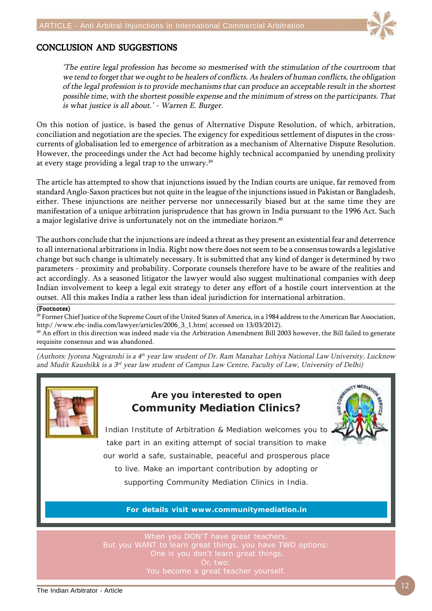

# CONCLUSION AND SUGGESTIONS

'The entire legal profession has become so mesmerised with the stimulation of the courtroom that we tend to forget that we ought to be healers of conflicts. As healers of human conflicts, the obligation of the legal profession is to provide mechanisms that can produce an acceptable result in the shortest possible time, with the shortest possible expense and the minimum of stress on the participants. That is what justice is all about.' - Warren E. Burger.

On this notion of justice, is based the genus of Alternative Dispute Resolution, of which, arbitration, conciliation and negotiation are the species. The exigency for expeditious settlement of disputes in the crosscurrents of globalisation led to emergence of arbitration as a mechanism of Alternative Dispute Resolution. However, the proceedings under the Act had become highly technical accompanied by unending prolixity at every stage providing a legal trap to the unwary.39

The article has attempted to show that injunctions issued by the Indian courts are unique, far removed from standard Anglo-Saxon practices but not quite in the league of the injunctions issued in Pakistan or Bangladesh, either. These injunctions are neither perverse nor unnecessarily biased but at the same time they are manifestation of a unique arbitration jurisprudence that has grown in India pursuant to the 1996 Act. Such a major legislative drive is unfortunately not on the immediate horizon.<sup>40</sup>

The authors conclude that the injunctions are indeed a threat as they present an existential fear and deterrence to all international arbitrations in India. Right now there does not seem to be a consensus towards a legislative change but such change is ultimately necessary. It is submitted that any kind of danger is determined by two parameters - proximity and probability. Corporate counsels therefore have to be aware of the realities and act accordingly. As a seasoned litigator the lawyer would also suggest multinational companies with deep Indian involvement to keep a legal exit strategy to deter any effort of a hostile court intervention at the outset. All this makes India a rather less than ideal jurisdiction for international arbitration.

### (Footnotes)

<sup>39</sup> Former Chief Justice of the Supreme Court of the United States of America, in a 1984 address to the American Bar Association, http:/ /www.ebc-india.com/lawyer/articles/2006\_3\_1.htm( accessed on 13/03/2012).

<sup>40</sup> An effort in this direction was indeed made via the Arbitration Amendment Bill 2003 however, the Bill failed to generate requisite consensus and was abandoned.

(Authors: Jyotsna Nagyanshi is a  $4<sup>th</sup>$  year law student of Dr. Ram Manahar Lohiya National Law University, Lucknow and Mudit Kaushikk is a 3rd year law student of Campus Law Centre, Faculty of Law, University of Delhi)



# **Are you interested to open Community Mediation Clinics?**



Indian Institute of Arbitration & Mediation welcomes you to take part in an exiting attempt of social transition to make our world a safe, sustainable, peaceful and prosperous place to live. Make an important contribution by adopting or supporting Community Mediation Clinics in India.

## **For details visit www.communitymediation.in**

But you WANT to learn great things, you have TWO options: One is you don't learn great things,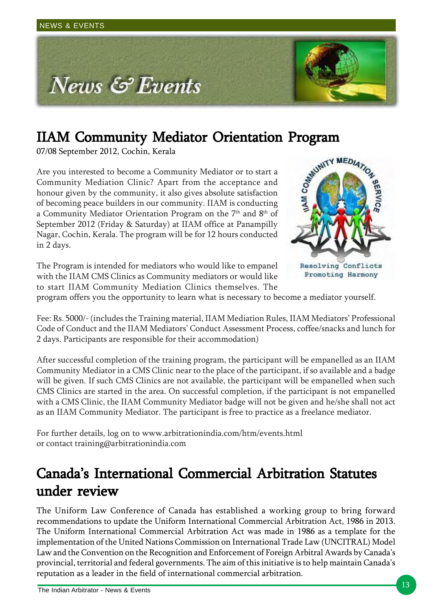

07/08 September 2012, Cochin, Kerala

**IIAM Community Mediator Orientation Program** 07/08 September 2012, Cochin, Kerala<br>Are you interested to become a Community Mediator or to start a<br>Community Mediation Clinic? Apart from the acceptance and<br>honour given by Are you interested to become a Community Mediator or to start a Community Mediation Clinic? Apart from the acceptance and honour given by the community, it also gives absolute satisfaction of becoming peace builders in our community. IIAM is conducting a Community Mediator Orientation Program on the  $7<sup>th</sup>$  and  $8<sup>th</sup>$  of September 2012 (Friday & Saturday) at IIAM office at Panampilly Nagar, Cochin, Kerala. The program will be for 12 hours conducted in 2 days.



The Program is intended for mediators who would like to empanel with the IIAM CMS Clinics as Community mediators or would like to start IIAM Community Mediation Clinics themselves. The

program offers you the opportunity to learn what is necessary to become a mediator yourself.

Fee: Rs. 5000/- (includes the Training material, IIAM Mediation Rules, IIAM Mediators' Professional Code of Conduct and the IIAM Mediators' Conduct Assessment Process, coffee/snacks and lunch for 2 days. Participants are responsible for their accommodation)

After successful completion of the training program, the participant will be empanelled as an IIAM Community Mediator in a CMS Clinic near to the place of the participant, if so available and a badge will be given. If such CMS Clinics are not available, the participant will be empanelled when such CMS Clinics are started in the area. On successful completion, if the participant is not empanelled with a CMS Clinic, the IIAM Community Mediator badge will not be given and he/she shall not act as an IIAM Community Mediator. The participant is free to practice as a freelance mediator.

For further details, log on to www.arbitrationindia.com/htm/events.html or contact training@arbitrationindia.com

# Canada's International Commercial Arbitration Statutes under review

The Uniform Law Conference of Canada has established a working group to bring forward recommendations to update the Uniform International Commercial Arbitration Act, 1986 in 2013. The Uniform International Commercial Arbitration Act was made in 1986 as a template for the implementation of the United Nations Commission on International Trade Law (UNCITRAL) Model Law and the Convention on the Recognition and Enforcement of Foreign Arbitral Awards by Canada's provincial, territorial and federal governments. The aim of this initiative is to help maintain Canada's reputation as a leader in the field of international commercial arbitration.